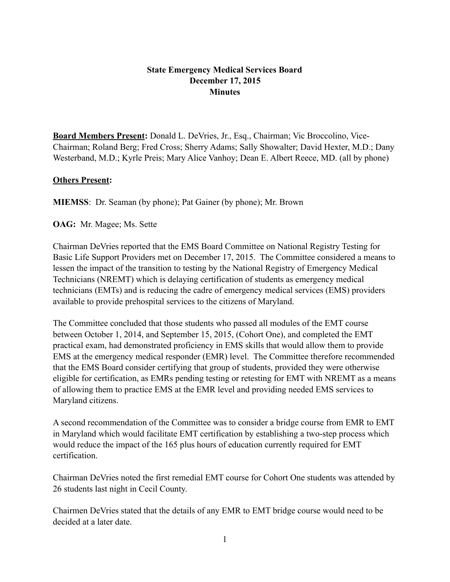## **State Emergency Medical Services Board December 17, 2015 Minutes**

**Board Members Present:** Donald L. DeVries, Jr., Esq., Chairman; Vic Broccolino, Vice-Chairman; Roland Berg; Fred Cross; Sherry Adams; Sally Showalter; David Hexter, M.D.; Dany Westerband, M.D.; Kyrle Preis; Mary Alice Vanhoy; Dean E. Albert Reece, MD. (all by phone)

## **Others Present:**

**MIEMSS**: Dr. Seaman (by phone); Pat Gainer (by phone); Mr. Brown

**OAG:** Mr. Magee; Ms. Sette

Chairman DeVries reported that the EMS Board Committee on National Registry Testing for Basic Life Support Providers met on December 17, 2015. The Committee considered a means to lessen the impact of the transition to testing by the National Registry of Emergency Medical Technicians (NREMT) which is delaying certification of students as emergency medical technicians (EMTs) and is reducing the cadre of emergency medical services (EMS) providers available to provide prehospital services to the citizens of Maryland.

The Committee concluded that those students who passed all modules of the EMT course between October 1, 2014, and September 15, 2015, (Cohort One), and completed the EMT practical exam, had demonstrated proficiency in EMS skills that would allow them to provide EMS at the emergency medical responder (EMR) level. The Committee therefore recommended that the EMS Board consider certifying that group of students, provided they were otherwise eligible for certification, as EMRs pending testing or retesting for EMT with NREMT as a means of allowing them to practice EMS at the EMR level and providing needed EMS services to Maryland citizens.

A second recommendation of the Committee was to consider a bridge course from EMR to EMT in Maryland which would facilitate EMT certification by establishing a two-step process which would reduce the impact of the 165 plus hours of education currently required for EMT certification.

Chairman DeVries noted the first remedial EMT course for Cohort One students was attended by 26 students last night in Cecil County.

Chairmen DeVries stated that the details of any EMR to EMT bridge course would need to be decided at a later date.